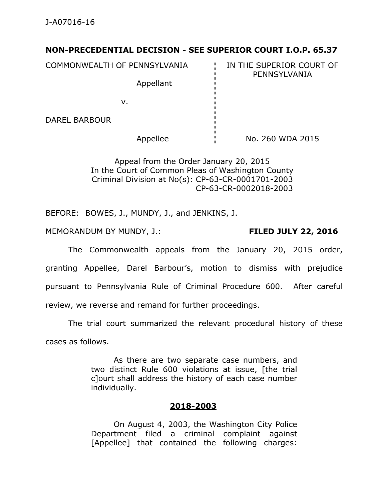## **NON-PRECEDENTIAL DECISION - SEE SUPERIOR COURT I.O.P. 65.37**

COMMONWEALTH OF PENNSYLVANIA FOR THE SUPERIOR COURT OF

Appellant

PENNSYLVANIA

v.

DAREL BARBOUR

Appellee No. 260 WDA 2015

Appeal from the Order January 20, 2015 In the Court of Common Pleas of Washington County Criminal Division at No(s): CP-63-CR-0001701-2003 CP-63-CR-0002018-2003

BEFORE: BOWES, J., MUNDY, J., and JENKINS, J.

MEMORANDUM BY MUNDY, J.: **FILED JULY 22, 2016**

The Commonwealth appeals from the January 20, 2015 order, granting Appellee, Darel Barbour's, motion to dismiss with prejudice pursuant to Pennsylvania Rule of Criminal Procedure 600. After careful review, we reverse and remand for further proceedings.

The trial court summarized the relevant procedural history of these cases as follows.

> As there are two separate case numbers, and two distinct Rule 600 violations at issue, [the trial c]ourt shall address the history of each case number individually.

## **2018-2003**

On August 4, 2003, the Washington City Police Department filed a criminal complaint against [Appellee] that contained the following charges: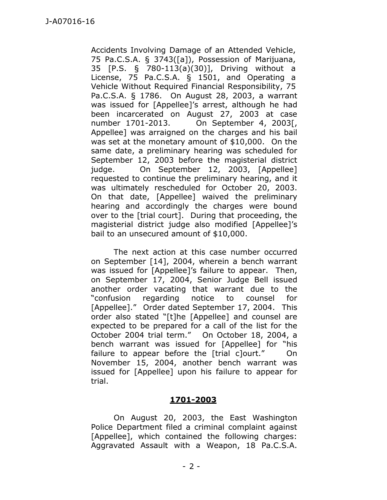Accidents Involving Damage of an Attended Vehicle, 75 Pa.C.S.A. § 3743([a]), Possession of Marijuana, 35 [P.S. § 780-113(a)(30)], Driving without a License, 75 Pa.C.S.A. § 1501, and Operating a Vehicle Without Required Financial Responsibility, 75 Pa.C.S.A. § 1786. On August 28, 2003, a warrant was issued for [Appellee]'s arrest, although he had been incarcerated on August 27, 2003 at case number 1701-2013. On September 4, 2003[, Appellee] was arraigned on the charges and his bail was set at the monetary amount of \$10,000. On the same date, a preliminary hearing was scheduled for September 12, 2003 before the magisterial district judge. On September 12, 2003, [Appellee] requested to continue the preliminary hearing, and it was ultimately rescheduled for October 20, 2003. On that date, [Appellee] waived the preliminary hearing and accordingly the charges were bound over to the [trial court]. During that proceeding, the magisterial district judge also modified [Appellee]'s bail to an unsecured amount of \$10,000.

The next action at this case number occurred on September [14], 2004, wherein a bench warrant was issued for [Appellee]'s failure to appear. Then, on September 17, 2004, Senior Judge Bell issued another order vacating that warrant due to the "confusion regarding notice to counsel for [Appellee]." Order dated September 17, 2004. This order also stated "[t]he [Appellee] and counsel are expected to be prepared for a call of the list for the October 2004 trial term." On October 18, 2004, a bench warrant was issued for [Appellee] for "his failure to appear before the [trial c]ourt." On November 15, 2004, another bench warrant was issued for [Appellee] upon his failure to appear for trial.

## **1701-2003**

On August 20, 2003, the East Washington Police Department filed a criminal complaint against [Appellee], which contained the following charges: Aggravated Assault with a Weapon, 18 Pa.C.S.A.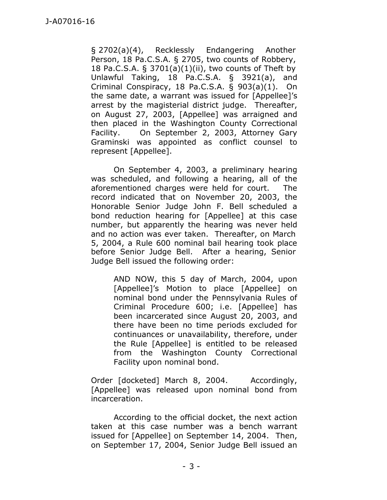§ 2702(a)(4), Recklessly Endangering Another Person, 18 Pa.C.S.A. § 2705, two counts of Robbery, 18 Pa.C.S.A. § 3701(a)(1)(ii), two counts of Theft by Unlawful Taking, 18 Pa.C.S.A. § 3921(a), and Criminal Conspiracy, 18 Pa.C.S.A. § 903(a)(1). On the same date, a warrant was issued for [Appellee]'s arrest by the magisterial district judge. Thereafter, on August 27, 2003, [Appellee] was arraigned and then placed in the Washington County Correctional Facility. On September 2, 2003, Attorney Gary Graminski was appointed as conflict counsel to represent [Appellee].

On September 4, 2003, a preliminary hearing was scheduled, and following a hearing, all of the aforementioned charges were held for court. The record indicated that on November 20, 2003, the Honorable Senior Judge John F. Bell scheduled a bond reduction hearing for [Appellee] at this case number, but apparently the hearing was never held and no action was ever taken. Thereafter, on March 5, 2004, a Rule 600 nominal bail hearing took place before Senior Judge Bell. After a hearing, Senior Judge Bell issued the following order:

> AND NOW, this 5 day of March, 2004, upon [Appellee]'s Motion to place [Appellee] on nominal bond under the Pennsylvania Rules of Criminal Procedure 600; i.e. [Appellee] has been incarcerated since August 20, 2003, and there have been no time periods excluded for continuances or unavailability, therefore, under the Rule [Appellee] is entitled to be released from the Washington County Correctional Facility upon nominal bond.

Order [docketed] March 8, 2004. Accordingly, [Appellee] was released upon nominal bond from incarceration.

According to the official docket, the next action taken at this case number was a bench warrant issued for [Appellee] on September 14, 2004. Then, on September 17, 2004, Senior Judge Bell issued an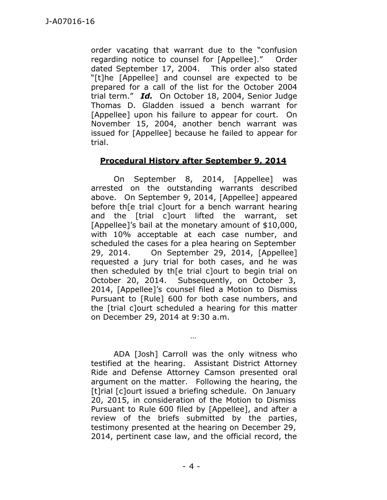order vacating that warrant due to the "confusion regarding notice to counsel for [Appellee]." Order dated September 17, 2004. This order also stated "[t]he [Appellee] and counsel are expected to be prepared for a call of the list for the October 2004 trial term." *Id.* On October 18, 2004, Senior Judge Thomas D. Gladden issued a bench warrant for [Appellee] upon his failure to appear for court. On November 15, 2004, another bench warrant was issued for [Appellee] because he failed to appear for trial.

## **Procedural History after September 9, 2014**

On September 8, 2014, [Appellee] was arrested on the outstanding warrants described above. On September 9, 2014, [Appellee] appeared before th[e trial c]ourt for a bench warrant hearing and the [trial c]ourt lifted the warrant, set [Appellee]'s bail at the monetary amount of \$10,000, with 10% acceptable at each case number, and scheduled the cases for a plea hearing on September 29, 2014. On September 29, 2014, [Appellee] requested a jury trial for both cases, and he was then scheduled by th[e trial c]ourt to begin trial on October 20, 2014. Subsequently, on October 3, 2014, [Appellee]'s counsel filed a Motion to Dismiss Pursuant to [Rule] 600 for both case numbers, and the [trial c]ourt scheduled a hearing for this matter on December 29, 2014 at 9:30 a.m.

ADA [Josh] Carroll was the only witness who testified at the hearing. Assistant District Attorney Ride and Defense Attorney Camson presented oral argument on the matter. Following the hearing, the [t]rial [c]ourt issued a briefing schedule. On January 20, 2015, in consideration of the Motion to Dismiss Pursuant to Rule 600 filed by [Appellee], and after a review of the briefs submitted by the parties, testimony presented at the hearing on December 29, 2014, pertinent case law, and the official record, the

…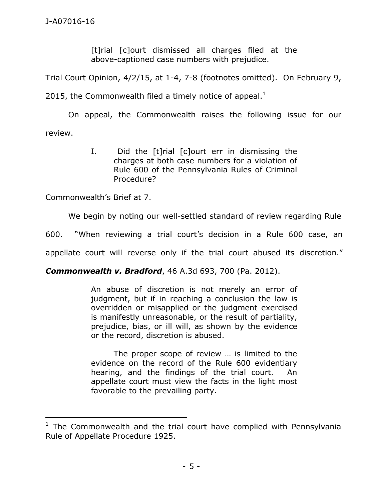[t]rial [c]ourt dismissed all charges filed at the above-captioned case numbers with prejudice.

Trial Court Opinion, 4/2/15, at 1-4, 7-8 (footnotes omitted). On February 9,

2015, the Commonwealth filed a timely notice of appeal.<sup>1</sup>

On appeal, the Commonwealth raises the following issue for our review.

> I. Did the [t]rial [c]ourt err in dismissing the charges at both case numbers for a violation of Rule 600 of the Pennsylvania Rules of Criminal Procedure?

Commonwealth's Brief at 7.

We begin by noting our well-settled standard of review regarding Rule

600. "When reviewing a trial court's decision in a Rule 600 case, an

appellate court will reverse only if the trial court abused its discretion."

*Commonwealth v. Bradford*, 46 A.3d 693, 700 (Pa. 2012).

An abuse of discretion is not merely an error of judgment, but if in reaching a conclusion the law is overridden or misapplied or the judgment exercised is manifestly unreasonable, or the result of partiality, prejudice, bias, or ill will, as shown by the evidence or the record, discretion is abused.

The proper scope of review … is limited to the evidence on the record of the Rule 600 evidentiary hearing, and the findings of the trial court. An appellate court must view the facts in the light most favorable to the prevailing party.

 $1$  The Commonwealth and the trial court have complied with Pennsylvania Rule of Appellate Procedure 1925.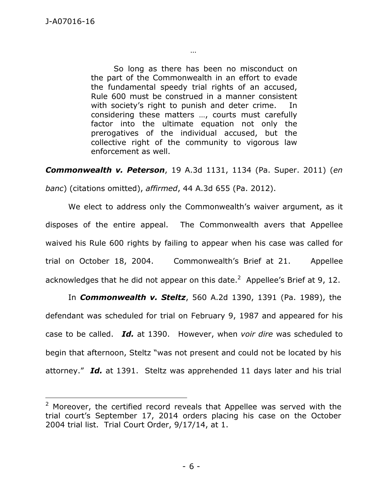So long as there has been no misconduct on the part of the Commonwealth in an effort to evade the fundamental speedy trial rights of an accused, Rule 600 must be construed in a manner consistent with society's right to punish and deter crime. In considering these matters …, courts must carefully factor into the ultimate equation not only the prerogatives of the individual accused, but the collective right of the community to vigorous law enforcement as well.

…

*Commonwealth v. Peterson*, 19 A.3d 1131, 1134 (Pa. Super. 2011) (*en*

*banc*) (citations omitted), *affirmed*, 44 A.3d 655 (Pa. 2012).

We elect to address only the Commonwealth's waiver argument, as it disposes of the entire appeal. The Commonwealth avers that Appellee waived his Rule 600 rights by failing to appear when his case was called for trial on October 18, 2004. Commonwealth's Brief at 21. Appellee acknowledges that he did not appear on this date. $^2$  Appellee's Brief at 9, 12.

In *Commonwealth v. Steltz*, 560 A.2d 1390, 1391 (Pa. 1989), the defendant was scheduled for trial on February 9, 1987 and appeared for his case to be called. *Id.* at 1390. However, when *voir dire* was scheduled to begin that afternoon, Steltz "was not present and could not be located by his attorney." *Id.* at 1391. Steltz was apprehended 11 days later and his trial

 $2$  Moreover, the certified record reveals that Appellee was served with the trial court's September 17, 2014 orders placing his case on the October 2004 trial list. Trial Court Order, 9/17/14, at 1.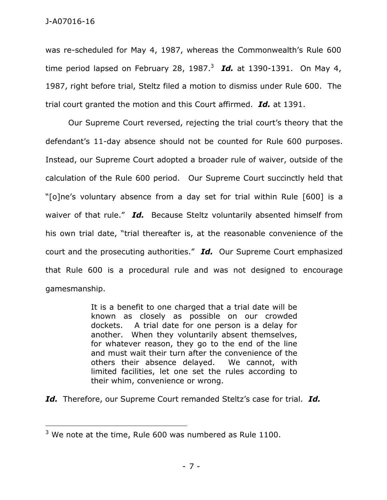was re-scheduled for May 4, 1987, whereas the Commonwealth's Rule 600 time period lapsed on February 28, 1987. <sup>3</sup> *Id.* at 1390-1391. On May 4, 1987, right before trial, Steltz filed a motion to dismiss under Rule 600. The trial court granted the motion and this Court affirmed. *Id.* at 1391.

Our Supreme Court reversed, rejecting the trial court's theory that the defendant's 11-day absence should not be counted for Rule 600 purposes. Instead, our Supreme Court adopted a broader rule of waiver, outside of the calculation of the Rule 600 period. Our Supreme Court succinctly held that "[o]ne's voluntary absence from a day set for trial within Rule [600] is a waiver of that rule." Id. Because Steltz voluntarily absented himself from his own trial date, "trial thereafter is, at the reasonable convenience of the court and the prosecuting authorities." *Id.* Our Supreme Court emphasized that Rule 600 is a procedural rule and was not designed to encourage gamesmanship.

> It is a benefit to one charged that a trial date will be known as closely as possible on our crowded dockets. A trial date for one person is a delay for another. When they voluntarily absent themselves, for whatever reason, they go to the end of the line and must wait their turn after the convenience of the others their absence delayed. We cannot, with limited facilities, let one set the rules according to their whim, convenience or wrong.

*Id.* Therefore, our Supreme Court remanded Steltz's case for trial. *Id.*

 $3$  We note at the time, Rule 600 was numbered as Rule 1100.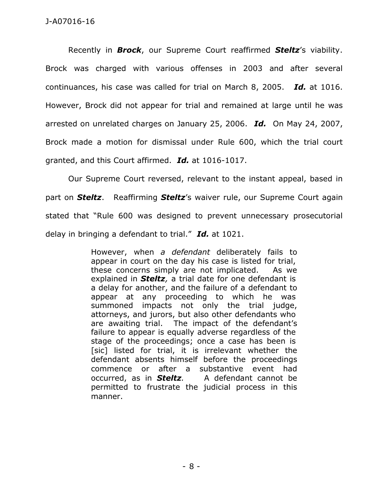Recently in *Brock*, our Supreme Court reaffirmed *Steltz*'s viability. Brock was charged with various offenses in 2003 and after several continuances, his case was called for trial on March 8, 2005. *Id.* at 1016. However, Brock did not appear for trial and remained at large until he was arrested on unrelated charges on January 25, 2006. *Id.* On May 24, 2007, Brock made a motion for dismissal under Rule 600, which the trial court granted, and this Court affirmed. *Id.* at 1016-1017.

Our Supreme Court reversed, relevant to the instant appeal, based in part on *Steltz*. Reaffirming *Steltz*'s waiver rule, our Supreme Court again stated that "Rule 600 was designed to prevent unnecessary prosecutorial delay in bringing a defendant to trial." *Id.* at 1021.

> However, when *a defendant* deliberately fails to appear in court on the day his case is listed for trial, these concerns simply are not implicated. As we explained in *Steltz,* a trial date for one defendant is a delay for another, and the failure of a defendant to appear at any proceeding to which he was summoned impacts not only the trial judge, attorneys, and jurors, but also other defendants who are awaiting trial. The impact of the defendant's failure to appear is equally adverse regardless of the stage of the proceedings; once a case has been is [sic] listed for trial, it is irrelevant whether the defendant absents himself before the proceedings commence or after a substantive event had occurred, as in *Steltz.* A defendant cannot be permitted to frustrate the judicial process in this manner.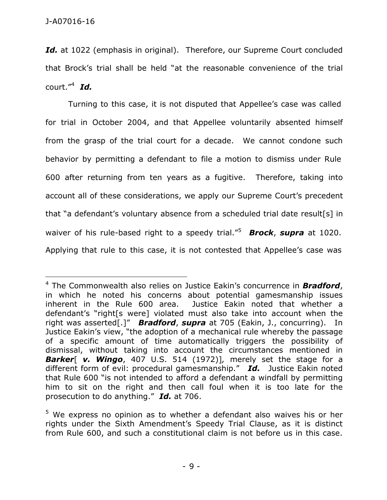Id. at 1022 (emphasis in original). Therefore, our Supreme Court concluded that Brock's trial shall be held "at the reasonable convenience of the trial court." <sup>4</sup> *Id.*

Turning to this case, it is not disputed that Appellee's case was called for trial in October 2004, and that Appellee voluntarily absented himself from the grasp of the trial court for a decade. We cannot condone such behavior by permitting a defendant to file a motion to dismiss under Rule 600 after returning from ten years as a fugitive. Therefore, taking into account all of these considerations, we apply our Supreme Court's precedent that "a defendant's voluntary absence from a scheduled trial date result[s] in waiver of his rule-based right to a speedy trial." <sup>5</sup> *Brock*, *supra* at 1020. Applying that rule to this case, it is not contested that Appellee's case was

<sup>4</sup> The Commonwealth also relies on Justice Eakin's concurrence in *Bradford*, in which he noted his concerns about potential gamesmanship issues inherent in the Rule 600 area. Justice Eakin noted that whether a defendant's "right[s were] violated must also take into account when the right was asserted[.]" *Bradford*, *supra* at 705 (Eakin, J., concurring). In Justice Eakin's view, "the adoption of a mechanical rule whereby the passage of a specific amount of time automatically triggers the possibility of dismissal, without taking into account the circumstances mentioned in *Barker*[ *v. Wingo*, 407 U.S. 514 (1972)]*,* merely set the stage for a different form of evil: procedural gamesmanship." *Id.* Justice Eakin noted that Rule 600 "is not intended to afford a defendant a windfall by permitting him to sit on the right and then call foul when it is too late for the prosecution to do anything." *Id.* at 706.

<sup>&</sup>lt;sup>5</sup> We express no opinion as to whether a defendant also waives his or her rights under the Sixth Amendment's Speedy Trial Clause, as it is distinct from Rule 600, and such a constitutional claim is not before us in this case.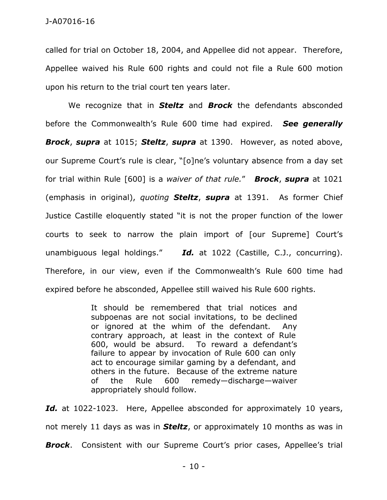called for trial on October 18, 2004, and Appellee did not appear. Therefore, Appellee waived his Rule 600 rights and could not file a Rule 600 motion upon his return to the trial court ten years later.

We recognize that in *Steltz* and *Brock* the defendants absconded before the Commonwealth's Rule 600 time had expired. *See generally Brock*, *supra* at 1015; *Steltz*, *supra* at 1390. However, as noted above, our Supreme Court's rule is clear, "[o]ne's voluntary absence from a day set for trial within Rule [600] is a *waiver of that rule.*" *Brock*, *supra* at 1021 (emphasis in original), *quoting Steltz*, *supra* at 1391. As former Chief Justice Castille eloquently stated "it is not the proper function of the lower courts to seek to narrow the plain import of [our Supreme] Court's unambiguous legal holdings." *Id.* at 1022 (Castille, C.J., concurring). Therefore, in our view, even if the Commonwealth's Rule 600 time had expired before he absconded, Appellee still waived his Rule 600 rights.

> It should be remembered that trial notices and subpoenas are not social invitations, to be declined or ignored at the whim of the defendant. Any contrary approach, at least in the context of [Rule](https://1.next.westlaw.com/Link/Document/FullText?findType=L&pubNum=1000262&cite=PASTRCRPR600&originatingDoc=Iaf3818c7657e11e2a531ef6793d44951&refType=LQ&originationContext=document&transitionType=DocumentItem&contextData=%28sc.History*oc.UserEnteredCitation%29) [600,](https://1.next.westlaw.com/Link/Document/FullText?findType=L&pubNum=1000262&cite=PASTRCRPR600&originatingDoc=Iaf3818c7657e11e2a531ef6793d44951&refType=LQ&originationContext=document&transitionType=DocumentItem&contextData=%28sc.History*oc.UserEnteredCitation%29) would be absurd. To reward a defendant's failure to appear by invocation of [Rule](https://1.next.westlaw.com/Link/Document/FullText?findType=L&pubNum=1000262&cite=PASTRCRPR600&originatingDoc=Iaf3818c7657e11e2a531ef6793d44951&refType=LQ&originationContext=document&transitionType=DocumentItem&contextData=%28sc.History*oc.UserEnteredCitation%29) 600 can only act to encourage similar gaming by a defendant, and others in the future. Because of the extreme nature of the [Rule](https://1.next.westlaw.com/Link/Document/FullText?findType=L&pubNum=1000262&cite=PASTRCRPR600&originatingDoc=Iaf3818c7657e11e2a531ef6793d44951&refType=LQ&originationContext=document&transitionType=DocumentItem&contextData=%28sc.History*oc.UserEnteredCitation%29) 600 remedy—discharge—waiver appropriately should follow.

Id. at 1022-1023. Here, Appellee absconded for approximately 10 years, not merely 11 days as was in *Steltz*, or approximately 10 months as was in **Brock**. Consistent with our Supreme Court's prior cases, Appellee's trial